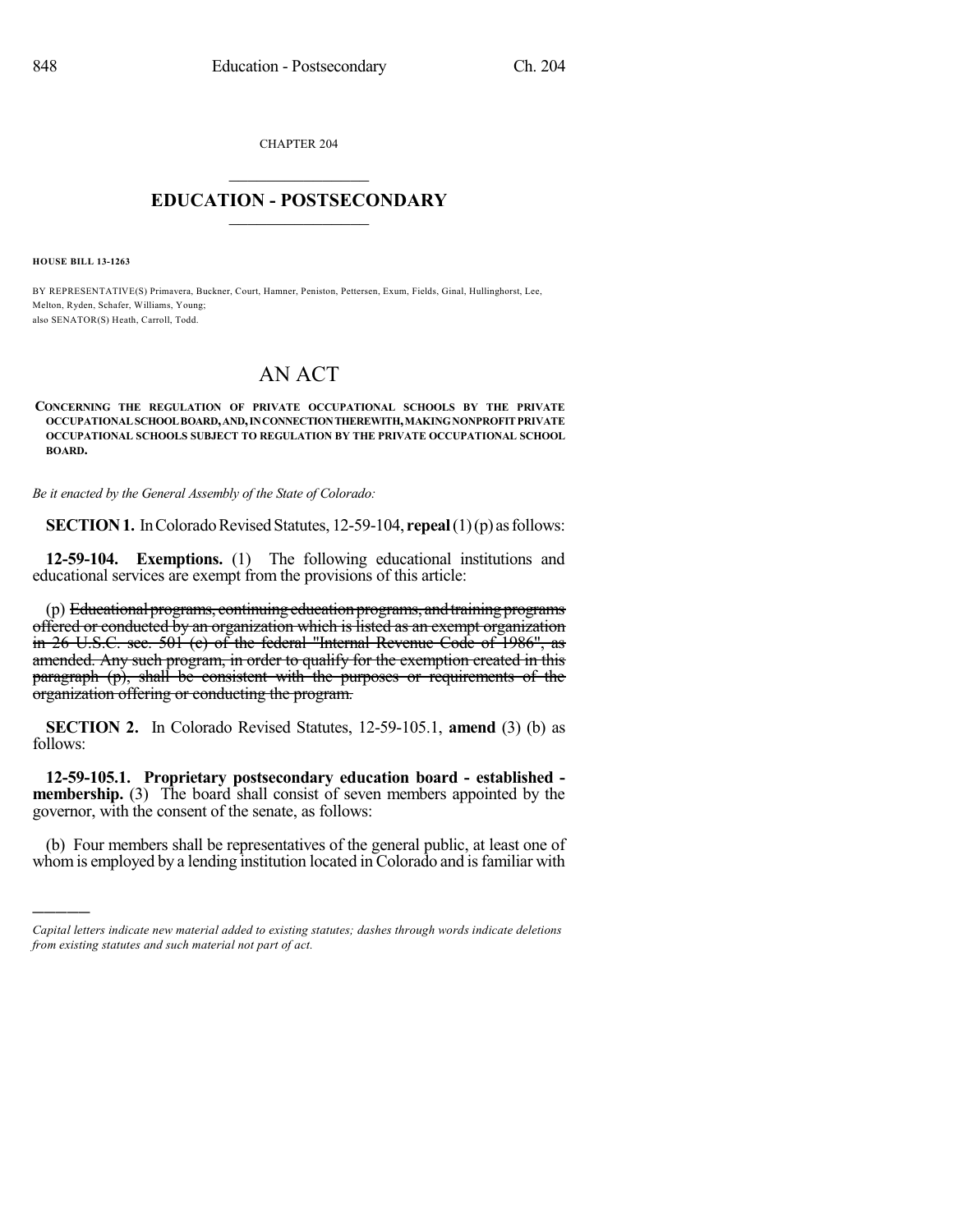CHAPTER 204  $\mathcal{L}_\text{max}$  . The set of the set of the set of the set of the set of the set of the set of the set of the set of the set of the set of the set of the set of the set of the set of the set of the set of the set of the set

## **EDUCATION - POSTSECONDARY**  $\frac{1}{2}$  ,  $\frac{1}{2}$  ,  $\frac{1}{2}$  ,  $\frac{1}{2}$  ,  $\frac{1}{2}$  ,  $\frac{1}{2}$  ,  $\frac{1}{2}$

**HOUSE BILL 13-1263**

)))))

BY REPRESENTATIVE(S) Primavera, Buckner, Court, Hamner, Peniston, Pettersen, Exum, Fields, Ginal, Hullinghorst, Lee, Melton, Ryden, Schafer, Williams, Young; also SENATOR(S) Heath, Carroll, Todd.

## AN ACT

## **CONCERNING THE REGULATION OF PRIVATE OCCUPATIONAL SCHOOLS BY THE PRIVATE OCCUPATIONAL SCHOOLBOARD,AND,INCONNECTIONTHEREWITH,MAKINGNONPROFIT PRIVATE OCCUPATIONAL SCHOOLS SUBJECT TO REGULATION BY THE PRIVATE OCCUPATIONAL SCHOOL BOARD.**

*Be it enacted by the General Assembly of the State of Colorado:*

**SECTION 1.** In Colorado Revised Statutes, 12-59-104, **repeal**(1)(p) as follows:

**12-59-104. Exemptions.** (1) The following educational institutions and educational services are exempt from the provisions of this article:

(p) Educational programs, continuing education programs, and training programs offered or conducted by an organization which is listed as an exempt organization in 26 U.S.C. sec. 501 (c) of the federal "Internal Revenue Code of 1986", as amended. Any such program, in order to qualify for the exemption created in this paragraph (p), shall be consistent with the purposes or requirements of the organization offering or conducting the program.

**SECTION 2.** In Colorado Revised Statutes, 12-59-105.1, **amend** (3) (b) as follows:

**12-59-105.1. Proprietary postsecondary education board - established membership.** (3) The board shall consist of seven members appointed by the governor, with the consent of the senate, as follows:

(b) Four members shall be representatives of the general public, at least one of whom is employed by a lending institution located in Colorado and is familiar with

*Capital letters indicate new material added to existing statutes; dashes through words indicate deletions from existing statutes and such material not part of act.*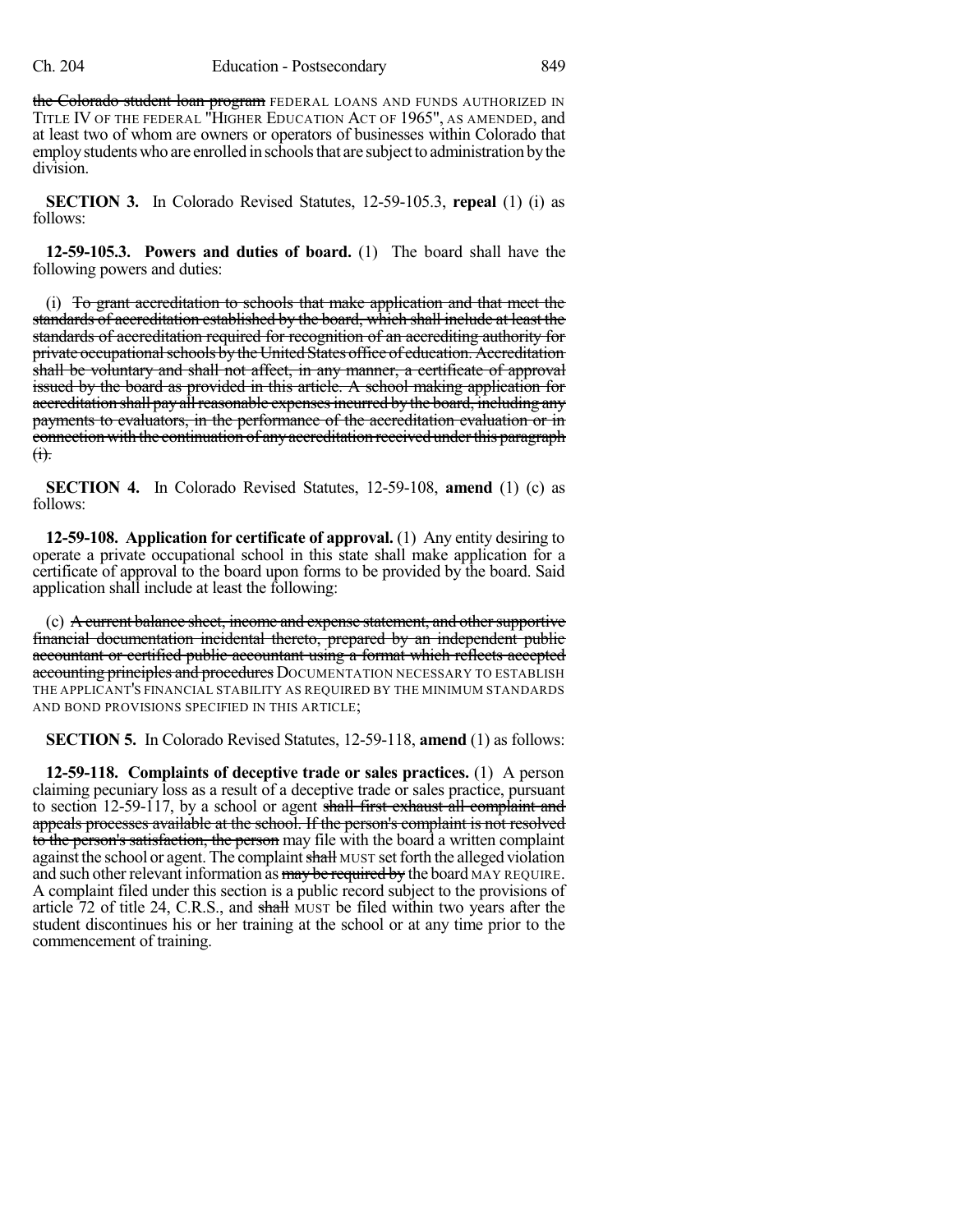the Colorado student loan program FEDERAL LOANS AND FUNDS AUTHORIZED IN TITLE IV OF THE FEDERAL "HIGHER EDUCATION ACT OF 1965", AS AMENDED, and at least two of whom are owners or operators of businesses within Colorado that employ students who are enrolled in schools that are subject to administration by the division.

**SECTION 3.** In Colorado Revised Statutes, 12-59-105.3, **repeal** (1) (i) as follows:

**12-59-105.3. Powers and duties of board.** (1) The board shall have the following powers and duties:

(i) To grant accreditation to schools that make application and that meet the standards of accreditation established by the board, which shall include at least the standards of accreditation required for recognition of an accrediting authority for private occupational schools by the United States office of education. Accreditation shall be voluntary and shall not affect, in any manner, a certificate of approval issued by the board as provided in this article. A school making application for accreditation shall pay all reasonable expenses incurred by the board, including any payments to evaluators, in the performance of the accreditation evaluation or in connection with the continuation of anyaccreditation received underthis paragraph  $<sub>(1)</sub>$ .</sub>

**SECTION 4.** In Colorado Revised Statutes, 12-59-108, **amend** (1) (c) as follows:

**12-59-108. Application for certificate of approval.** (1) Any entity desiring to operate a private occupational school in this state shall make application for a certificate of approval to the board upon forms to be provided by the board. Said application shall include at least the following:

(c) A current balance sheet, income and expense statement, and other supportive financial documentation incidental thereto, prepared by an independent public accountant or certified public accountant using a format which reflects accepted accounting principles and procedures DOCUMENTATION NECESSARY TO ESTABLISH THE APPLICANT'S FINANCIAL STABILITY AS REQUIRED BY THE MINIMUM STANDARDS AND BOND PROVISIONS SPECIFIED IN THIS ARTICLE;

**SECTION 5.** In Colorado Revised Statutes, 12-59-118, **amend** (1) as follows:

**12-59-118. Complaints of deceptive trade or sales practices.** (1) A person claiming pecuniary loss as a result of a deceptive trade or sales practice, pursuant to section 12-59-117, by a school or agent shall first exhaust all complaint and appeals processes available at the school. If the person's complaint is not resolved to the person's satisfaction, the person may file with the board a written complaint against the school or agent. The complaint shall MUST set forth the alleged violation and such other relevant information as may be required by the board MAY REQUIRE. A complaint filed under this section is a public record subject to the provisions of article 72 of title 24, C.R.S., and shall MUST be filed within two years after the student discontinues his or her training at the school or at any time prior to the commencement of training.